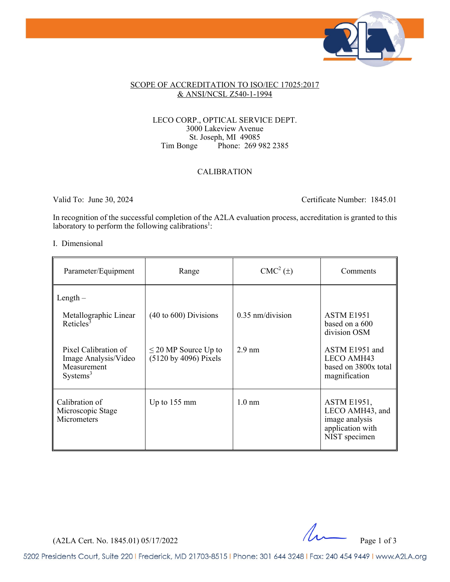

### SCOPE OF ACCREDITATION TO ISO/IEC 17025:2017 & ANSI/NCSL Z540-1-1994

### LECO CORP., OPTICAL SERVICE DEPT. 3000 Lakeview Avenue St. Joseph, MI 49085<br>Tim Bonge Phone: 269 9 Phone: 269 982 2385

## CALIBRATION

Valid To: June 30, 2024 Certificate Number: 1845.01

In recognition of the successful completion of the A2LA evaluation process, accreditation is granted to this laboratory to perform the following calibrations<sup>1</sup>:

#### I. Dimensional

| Parameter/Equipment                                                                 | Range                                              | $CMC2(\pm)$        | Comments                                                                                     |
|-------------------------------------------------------------------------------------|----------------------------------------------------|--------------------|----------------------------------------------------------------------------------------------|
| $Length -$                                                                          |                                                    |                    |                                                                                              |
| Metallographic Linear<br>Reticles <sup>3</sup>                                      | $(40 \text{ to } 600)$ Divisions                   | $0.35$ nm/division | <b>ASTM E1951</b><br>based on a 600<br>division OSM                                          |
| Pixel Calibration of<br>Image Analysis/Video<br>Measurement<br>Systems <sup>3</sup> | $\leq$ 20 MP Source Up to<br>(5120 by 4096) Pixels | $2.9 \text{ nm}$   | ASTM E1951 and<br><b>LECO AMH43</b><br>based on 3800x total<br>magnification                 |
| Calibration of<br>Microscopic Stage<br>Micrometers                                  | Up to $155 \text{ mm}$                             | $1.0 \text{ nm}$   | <b>ASTM E1951,</b><br>LECO AMH43, and<br>image analysis<br>application with<br>NIST specimen |

 $(A2LA$  Cert. No. 1845.01) 05/17/2022 Page 1 of 3

5202 Presidents Court, Suite 220 | Frederick, MD 21703-8515 | Phone: 301 644 3248 | Fax: 240 454 9449 | www.A2LA.org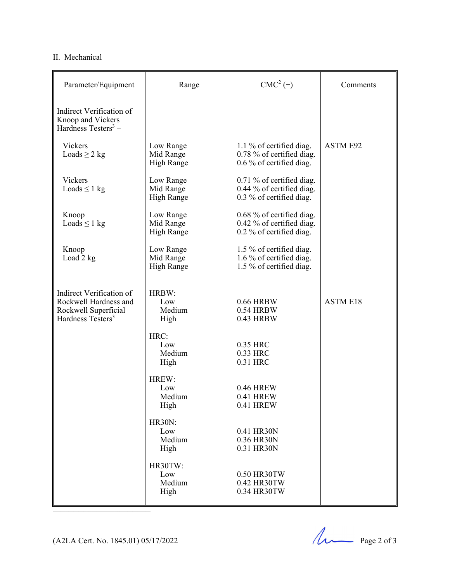# II. Mechanical

| Parameter/Equipment                                                                                        | Range                                       | $CMC2(\pm)$                                                                        | Comments        |
|------------------------------------------------------------------------------------------------------------|---------------------------------------------|------------------------------------------------------------------------------------|-----------------|
| Indirect Verification of<br>Knoop and Vickers<br>Hardness Testers <sup>3</sup> –                           |                                             |                                                                                    |                 |
| <b>Vickers</b><br>Loads $\geq$ 2 kg                                                                        | Low Range<br>Mid Range<br><b>High Range</b> | 1.1 % of certified diag.<br>0.78 % of certified diag.<br>0.6 % of certified diag.  | <b>ASTM E92</b> |
| Vickers<br>Loads $\leq 1$ kg                                                                               | Low Range<br>Mid Range<br><b>High Range</b> | 0.71 % of certified diag.<br>0.44 % of certified diag.<br>0.3 % of certified diag. |                 |
| Knoop<br>Loads $\leq 1$ kg                                                                                 | Low Range<br>Mid Range<br>High Range        | 0.68 % of certified diag.<br>0.42 % of certified diag.<br>0.2 % of certified diag. |                 |
| Knoop<br>Load 2 kg                                                                                         | Low Range<br>Mid Range<br><b>High Range</b> | 1.5 % of certified diag.<br>1.6 % of certified diag.<br>1.5 % of certified diag.   |                 |
| Indirect Verification of<br>Rockwell Hardness and<br>Rockwell Superficial<br>Hardness Testers <sup>3</sup> | HRBW:<br>Low<br>Medium<br>High              | 0.66 HRBW<br>0.54 HRBW<br>0.43 HRBW                                                | <b>ASTM E18</b> |
|                                                                                                            | HRC:<br>Low<br>Medium<br>High               | 0.35 HRC<br>0.33 HRC<br>0.31 HRC                                                   |                 |
|                                                                                                            | HREW:<br>Low<br>Medium<br>High              | 0.46 HREW<br>0.41 HREW<br>0.41 HREW                                                |                 |
|                                                                                                            | <b>HR30N:</b><br>Low<br>Medium<br>High      | 0.41 HR30N<br>0.36 HR30N<br>0.31 HR30N                                             |                 |
|                                                                                                            | HR30TW:<br>Low<br>Medium<br>High            | 0.50 HR30TW<br>0.42 HR30TW<br>0.34 HR30TW                                          |                 |

(A2LA Cert. No. 1845.01) 05/17/2022 Page 2 of 3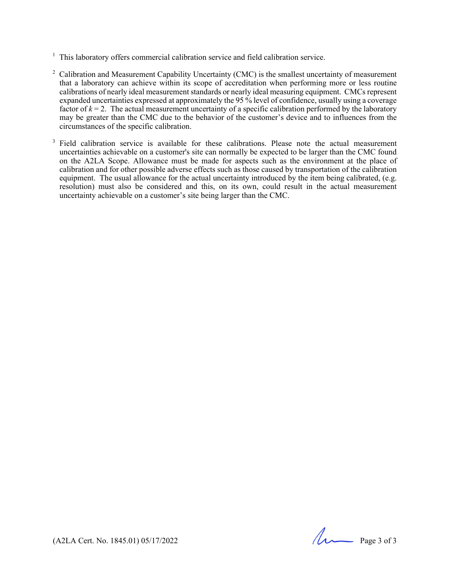- <sup>1</sup> This laboratory offers commercial calibration service and field calibration service.
- <sup>2</sup> Calibration and Measurement Capability Uncertainty (CMC) is the smallest uncertainty of measurement that a laboratory can achieve within its scope of accreditation when performing more or less routine calibrations of nearly ideal measurement standards or nearly ideal measuring equipment. CMCs represent expanded uncertainties expressed at approximately the 95 % level of confidence, usually using a coverage factor of  $k = 2$ . The actual measurement uncertainty of a specific calibration performed by the laboratory may be greater than the CMC due to the behavior of the customer's device and to influences from the circumstances of the specific calibration.
- <sup>3</sup> Field calibration service is available for these calibrations. Please note the actual measurement uncertainties achievable on a customer's site can normally be expected to be larger than the CMC found on the A2LA Scope. Allowance must be made for aspects such as the environment at the place of calibration and for other possible adverse effects such as those caused by transportation of the calibration equipment. The usual allowance for the actual uncertainty introduced by the item being calibrated, (e.g. resolution) must also be considered and this, on its own, could result in the actual measurement uncertainty achievable on a customer's site being larger than the CMC.

(A2LA Cert. No. 1845.01) 05/17/2022 Page 3 of 3